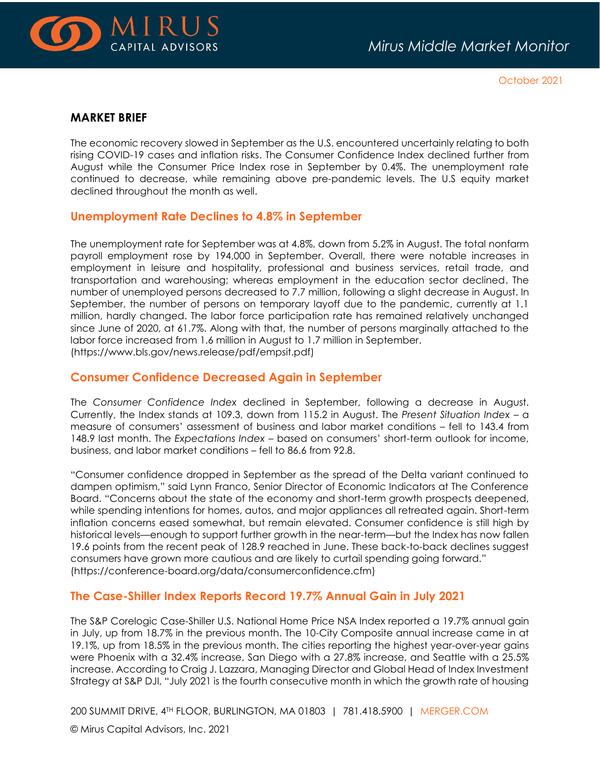

October 2021

#### **MARKET BRIEF**

The economic recovery slowed in September as the U.S. encountered uncertainly relating to both rising COVID-19 cases and inflation risks. The Consumer Confidence Index declined further from August while the Consumer Price Index rose in September by 0.4%. The unemployment rate continued to decrease, while remaining above pre-pandemic levels. The U.S equity market declined throughout the month as well.

#### **Unemployment Rate Declines to 4.8% in September**

The unemployment rate for September was at 4.8%, down from 5.2% in August. The total nonfarm payroll employment rose by 194,000 in September. Overall, there were notable increases in employment in leisure and hospitality, professional and business services, retail trade, and transportation and warehousing; whereas employment in the education sector declined. The number of unemployed persons decreased to 7.7 million, following a slight decrease in August. In September, the number of persons on temporary layoff due to the pandemic, currently at 1.1 million, hardly changed. The labor force participation rate has remained relatively unchanged since June of 2020, at 61.7%. Along with that, the number of persons marginally attached to the labor force increased from 1.6 million in August to 1.7 million in September. [\(https://www.bls.gov/news.release/pdf/empsit.pdf\)](https://www.bls.gov/news.release/pdf/empsit.pdf)

#### **Consumer Confidence Decreased Again in September**

The *Consumer Confidence Index* declined in September, following a decrease in August. Currently, the Index stands at 109.3, down from 115.2 in August. The *Present Situation Index* – a measure of consumers' assessment of business and labor market conditions – fell to 143.4 from 148.9 last month. The *Expectations Index* – based on consumers' short-term outlook for income, business, and labor market conditions – fell to 86.6 from 92.8.

"Consumer confidence dropped in September as the spread of the Delta variant continued to dampen optimism," said Lynn Franco, Senior Director of Economic Indicators at The Conference Board. "Concerns about the state of the economy and short-term growth prospects deepened, while spending intentions for homes, autos, and major appliances all retreated again. Short-term inflation concerns eased somewhat, but remain elevated. Consumer confidence is still high by historical levels—enough to support further growth in the near-term—but the Index has now fallen 19.6 points from the recent peak of 128.9 reached in June. These back-to-back declines suggest consumers have grown more cautious and are likely to curtail spending going forward." [\(https://conference-board.org/data/consumerconfidence.cfm\)](https://conference-board.org/data/consumerconfidence.cfm)

#### **The Case-Shiller Index Reports Record 19.7% Annual Gain in July 2021**

The S&P Corelogic Case-Shiller U.S. National Home Price NSA Index reported a 19.7% annual gain in July, up from 18.7% in the previous month. The 10-City Composite annual increase came in at 19.1%, up from 18.5% in the previous month. The cities reporting the highest year-over-year gains were Phoenix with a 32.4% increase, San Diego with a 27.8% increase, and Seattle with a 25.5% increase. According to Craig J. Lazzara, Managing Director and Global Head of Index Investment Strategy at S&P DJI, "July 2021 is the fourth consecutive month in which the growth rate of housing

200 SUMMIT DRIVE, 4TH FLOOR, BURLINGTON, MA 01803 | 781.418.5900 | [MERGER.COM](http://www.merger.com/)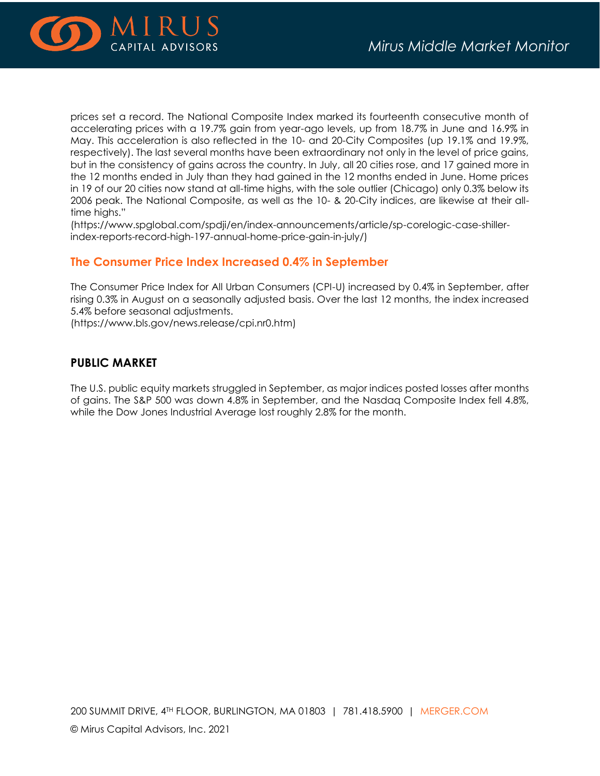

prices set a record. The National Composite Index marked its fourteenth consecutive month of accelerating prices with a 19.7% gain from year-ago levels, up from 18.7% in June and 16.9% in May. This acceleration is also reflected in the 10- and 20-City Composites (up 19.1% and 19.9%, respectively). The last several months have been extraordinary not only in the level of price gains, but in the consistency of gains across the country. In July, all 20 cities rose, and 17 gained more in the 12 months ended in July than they had gained in the 12 months ended in June. Home prices in 19 of our 20 cities now stand at all-time highs, with the sole outlier (Chicago) only 0.3% below its 2006 peak. The National Composite, as well as the 10- & 20-City indices, are likewise at their alltime highs."

(https://www.spglobal.com/spdji/en/index-announcements/article/sp-corelogic-case-shillerindex-reports-record-high-197-annual-home-price-gain-in-july/)

#### **The Consumer Price Index Increased 0.4% in September**

The Consumer Price Index for All Urban Consumers (CPI-U) increased by 0.4% in September, after rising 0.3% in August on a seasonally adjusted basis. Over the last 12 months, the index increased 5.4% before seasonal adjustments.

[\(https://www.bls.gov/news.release/cpi.nr0.htm\)](https://www.bls.gov/news.release/cpi.nr0.htm)

#### **PUBLIC MARKET**

The U.S. public equity markets struggled in September, as major indices posted losses after months of gains. The S&P 500 was down 4.8% in September, and the Nasdaq Composite Index fell 4.8%, while the Dow Jones Industrial Average lost roughly 2.8% for the month.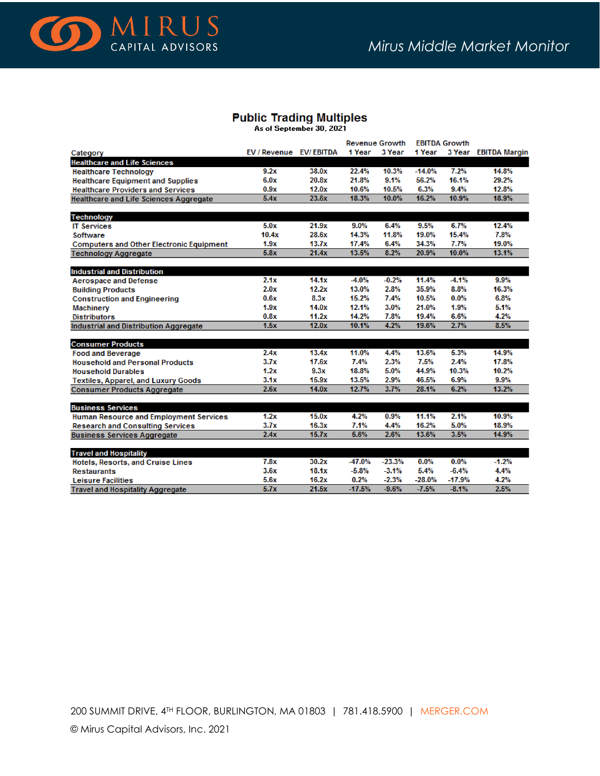

### **Public Trading Multiples**

As of September 30, 2021

|                                                 |                        |       | <b>Revenue Growth</b> |          | <b>EBITDA Growth</b> |          |                      |
|-------------------------------------------------|------------------------|-------|-----------------------|----------|----------------------|----------|----------------------|
| Category                                        | EV / Revenue EV/EBITDA |       | 1 Year                | 3 Year   | 1 Year               |          | 3 Year EBITDA Margin |
| <b>Healthcare and Life Sciences</b>             |                        |       |                       |          |                      |          |                      |
| <b>Healthcare Technology</b>                    | 9.2x                   | 38.0x | 22.4%                 | 10.3%    | $-14.0%$             | 7.2%     | 14.8%                |
| <b>Healthcare Equipment and Supplies</b>        | 6.0x                   | 20.8x | 21.8%                 | 9.1%     | 56.2%                | 16.1%    | 29.2%                |
| <b>Healthcare Providers and Services</b>        | 0.9x                   | 12.0x | 10.6%                 | 10.5%    | 6.3%                 | 9.4%     | 12.8%                |
| <b>Healthcare and Life Sciences Aggregate</b>   | 5.4x                   | 23.6x | 18.3%                 | 10.0%    | 16.2%                | 10.9%    | 18.9%                |
|                                                 |                        |       |                       |          |                      |          |                      |
| Technology                                      |                        |       |                       |          |                      |          |                      |
| <b>IT Services</b>                              | 5.0x                   | 21.9x | $9.0\%$               | 6.4%     | 9.5%                 | 6.7%     | 12.4%                |
| <b>Software</b>                                 | 10.4x                  | 28.6x | 14.3%                 | 11.8%    | 19.0%                | 15.4%    | 7.8%                 |
| <b>Computers and Other Electronic Equipment</b> | 1.9x                   | 13.7x | 17.4%                 | 6.4%     | 34.3%                | 7.7%     | 19.0%                |
| <b>Technology Aggregate</b>                     | 5.8x                   | 21.4x | 13.5%                 | 8.2%     | 20.9%                | 10.0%    | 13.1%                |
|                                                 |                        |       |                       |          |                      |          |                      |
| <b>Industrial and Distribution</b>              |                        |       |                       |          |                      |          |                      |
| <b>Aerospace and Defense</b>                    | 2.1x                   | 14.1x | $-4.0%$               | $-0.2%$  | 11.4%                | $-4.1%$  | 9.9%                 |
| <b>Building Products</b>                        | 2.0x                   | 12.2x | 13.0%                 | 2.8%     | 35.9%                | 8.8%     | 16.3%                |
| <b>Construction and Engineering</b>             | 0.6x                   | 8.3x  | 15.2%                 | 7.4%     | 10.5%                | $0.0\%$  | 6.8%                 |
| Machinery                                       | 1.9x                   | 14.0x | 12.1%                 | 3.0%     | 21.0%                | 1.9%     | 5.1%                 |
| <b>Distributors</b>                             | 0.8x                   | 11.2x | 14.2%                 | 7.8%     | 19.4%                | 6.6%     | 4.2%                 |
| Industrial and Distribution Aggregate           | 1.5x                   | 12.0x | 10.1%                 | 4.2%     | 19.6%                | 2.7%     | 8.5%                 |
| <b>Consumer Products</b>                        |                        |       |                       |          |                      |          |                      |
| <b>Food and Beverage</b>                        | 2.4x                   | 13.4x | 11.0%                 | 4.4%     | 13.6%                | 5.3%     | 14.9%                |
| <b>Household and Personal Products</b>          | 3.7x                   | 17.6x | 7.4%                  | 2.3%     | 7.5%                 | 2.4%     | 17.8%                |
| <b>Household Durables</b>                       | 1.2x                   | 9.3x  | 18.8%                 | 5.0%     | 44.9%                | 10.3%    | 10.2%                |
|                                                 | 3.1x                   | 15.9x | 13.5%                 | 2.9%     | 46.5%                | 6.9%     | 9.9%                 |
| <b>Textiles, Apparel, and Luxury Goods</b>      | 2.6x                   | 14.0x | 12.7%                 | 3.7%     | 28.1%                | 6.2%     | 13.2%                |
| <b>Consumer Products Aggregate</b>              |                        |       |                       |          |                      |          |                      |
| <b>Business Services</b>                        |                        |       |                       |          |                      |          |                      |
| <b>Human Resource and Employment Services</b>   | 1.2x                   | 15.0x | 4.2%                  | 0.9%     | 11.1%                | 2.1%     | 10.9%                |
| <b>Research and Consulting Services</b>         | 3.7x                   | 16.3x | 7.1%                  | 4.4%     | 16.2%                | 5.0%     | 18.9%                |
| <b>Business Services Aggregate</b>              | 2.4x                   | 15.7x | 5.6%                  | 2.6%     | 13.6%                | 3.5%     | 14.9%                |
|                                                 |                        |       |                       |          |                      |          |                      |
| <b>Travel and Hospitality</b>                   |                        |       |                       |          |                      |          |                      |
| <b>Hotels, Resorts, and Cruise Lines</b>        | 7.8x                   | 30.2x | -47.0%                | $-23.3%$ | 0.0%                 | 0.0%     | $-1.2%$              |
| <b>Restaurants</b>                              | 3.6x                   | 18.1x | $-5.8%$               | $-3.1%$  | 5.4%                 | $-6.4%$  | 4.4%                 |
| <b>Leisure Facilities</b>                       | 5.6x                   | 16.2x | 0.2%                  | $-2.3%$  | $-28.0%$             | $-17.9%$ | 4.2%                 |
| <b>Travel and Hospitality Aggregate</b>         | 5.7x                   | 21.5x | $-17.5%$              | $-9.6%$  | $-7.5%$              | $-8.1%$  | 2.5%                 |

200 SUMMIT DRIVE, 4TH FLOOR, BURLINGTON, MA 01803 | 781.418.5900 | [MERGER.COM](http://www.merger.com/)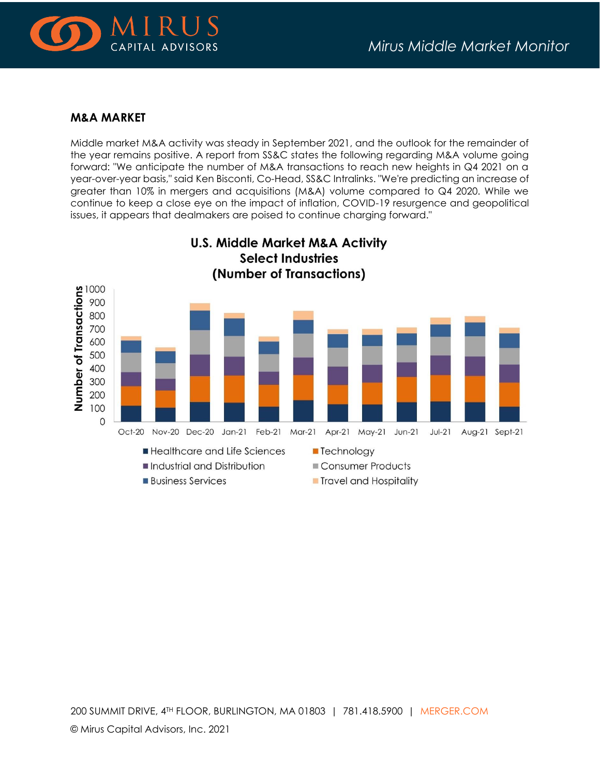

#### **M&A MARKET**

Middle market M&A activity was steady in September 2021, and the outlook for the remainder of the year remains positive. A report from SS&C states the following regarding M&A volume going forward: "We anticipate the number of M&A transactions to reach new heights in Q4 2021 on a year-over-year basis," said Ken Bisconti, Co-Head, SS&C Intralinks. "We're predicting an increase of greater than 10% in mergers and acquisitions (M&A) volume compared to Q4 2020. While we continue to keep a close eye on the impact of inflation, COVID-19 resurgence and geopolitical issues, it appears that dealmakers are poised to continue charging forward."



200 SUMMIT DRIVE, 4TH FLOOR, BURLINGTON, MA 01803 | 781.418.5900 | [MERGER.COM](http://www.merger.com/)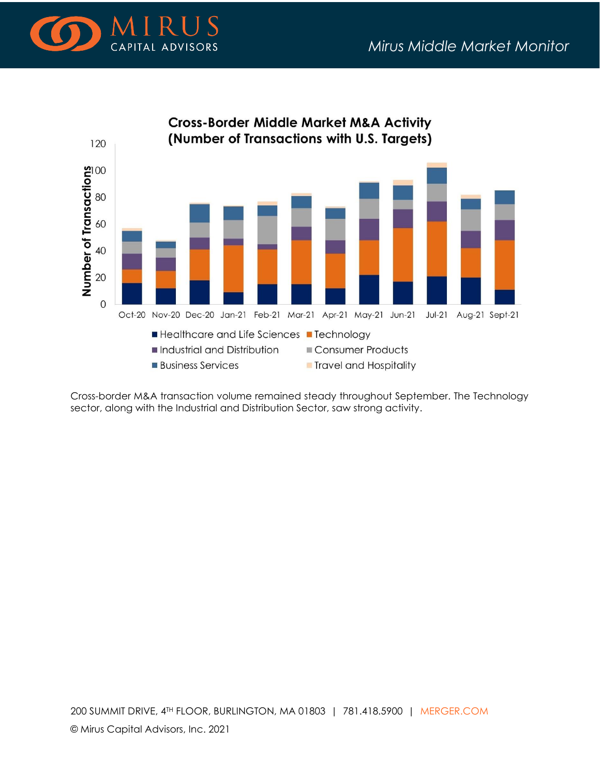



Cross-border M&A transaction volume remained steady throughout September. The Technology sector, along with the Industrial and Distribution Sector, saw strong activity.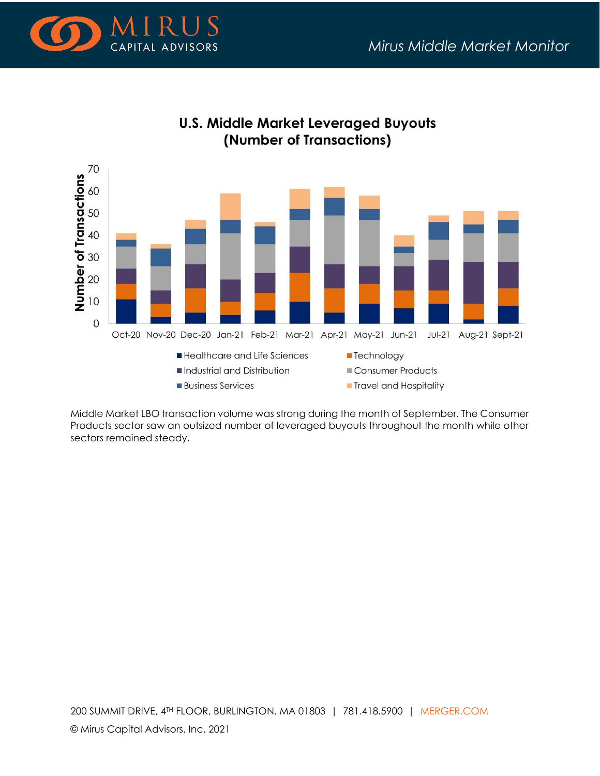



# **U.S. Middle Market Leveraged Buyouts** (Number of Transactions)

Middle Market LBO transaction volume was strong during the month of September. The Consumer Products sector saw an outsized number of leveraged buyouts throughout the month while other sectors remained steady.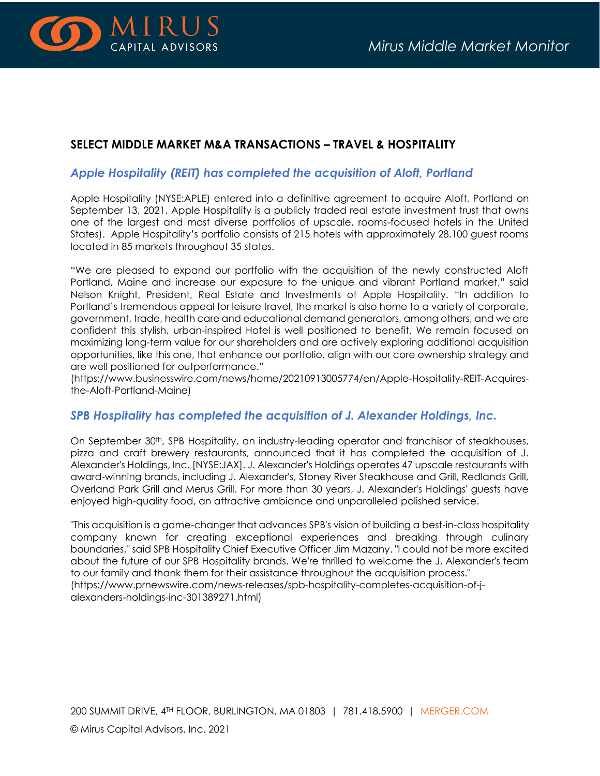

## **SELECT MIDDLE MARKET M&A TRANSACTIONS – TRAVEL & HOSPITALITY**

#### *Apple Hospitality (REIT) has completed the acquisition of Aloft, Portland*

Apple Hospitality (NYSE:APLE) entered into a definitive agreement to acquire Aloft, Portland on September 13, 2021. Apple Hospitality is a publicly traded real estate investment trust that owns one of the largest and most diverse portfolios of upscale, rooms-focused hotels in the United States). Apple Hospitality's portfolio consists of 215 hotels with approximately 28,100 guest rooms located in 85 markets throughout 35 states.

"We are pleased to expand our portfolio with the acquisition of the newly constructed Aloft Portland, Maine and increase our exposure to the unique and vibrant Portland market," said Nelson Knight, President, Real Estate and Investments of Apple Hospitality. "In addition to Portland's tremendous appeal for leisure travel, the market is also home to a variety of corporate, government, trade, health care and educational demand generators, among others, and we are confident this stylish, urban-inspired Hotel is well positioned to benefit. We remain focused on maximizing long-term value for our shareholders and are actively exploring additional acquisition opportunities, like this one, that enhance our portfolio, align with our core ownership strategy and are well positioned for outperformance."

(https://www.businesswire.com/news/home/20210913005774/en/Apple-Hospitality-REIT-Acquiresthe-Aloft-Portland-Maine)

#### *SPB Hospitality has completed the acquisition of J. Alexander Holdings, Inc.*

On September 30<sup>th</sup>, SPB Hospitality, an industry-leading operator and franchisor of steakhouses, pizza and craft brewery restaurants, announced that it has completed the acquisition of J. Alexander's Holdings, Inc. [NYSE:JAX]. J. Alexander's Holdings operates 47 upscale restaurants with award-winning brands, including J. Alexander's, Stoney River Steakhouse and Grill, Redlands Grill, Overland Park Grill and Merus Grill. For more than 30 years, J. Alexander's Holdings' guests have enjoyed high-quality food, an attractive ambiance and unparalleled polished service.

"This acquisition is a game-changer that advances SPB's vision of building a best-in-class hospitality company known for creating exceptional experiences and breaking through culinary boundaries," said SPB Hospitality Chief Executive Officer Jim Mazany. "I could not be more excited about the future of our SPB Hospitality brands. We're thrilled to welcome the J. Alexander's team to our family and thank them for their assistance throughout the acquisition process." (https://www.prnewswire.com/news-releases/spb-hospitality-completes-acquisition-of-jalexanders-holdings-inc-301389271.html)